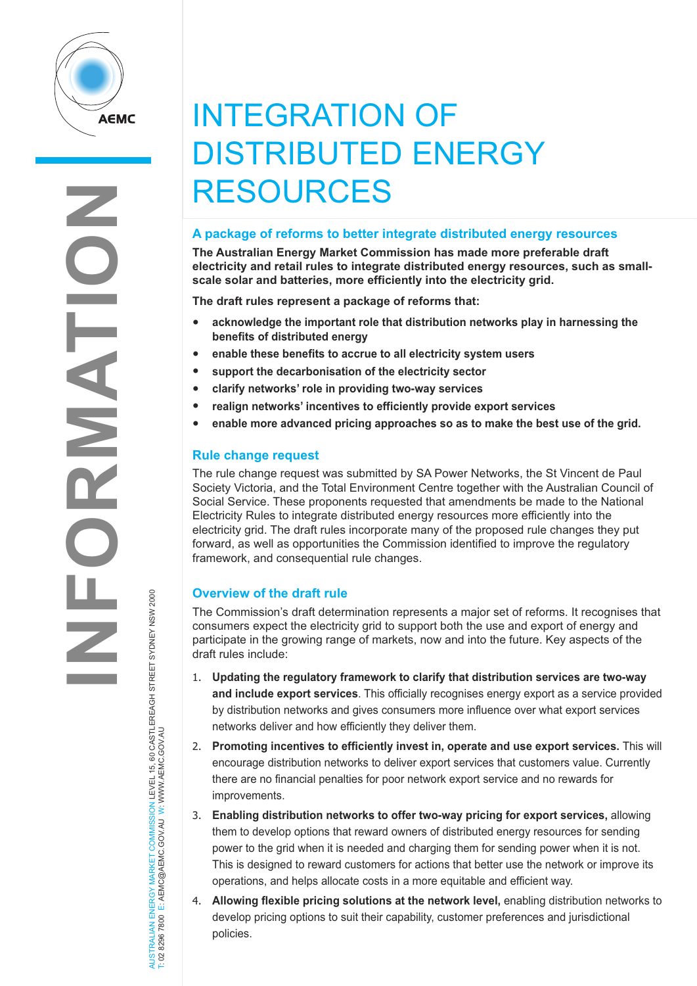

# INTEGRATION OF DISTRIBUTED ENERGY RESOURCES

## **A package of reforms to better integrate distributed energy resources**

**The Australian Energy Market Commission has made more preferable draft electricity and retail rules to integrate distributed energy resources, such as smallscale solar and batteries, more efficiently into the electricity grid.**

**The draft rules represent a package of reforms that:**

- **acknowledge the important role that distribution networks play in harnessing the benefits of distributed energy**
- **enable these benefits to accrue to all electricity system users**
- **support the decarbonisation of the electricity sector**
- **clarify networks' role in providing two-way services**
- **realign networks' incentives to efficiently provide export services**
- **enable more advanced pricing approaches so as to make the best use of the grid.**

## **Rule change request**

The rule change request was submitted by SA Power Networks, the St Vincent de Paul Society Victoria, and the Total Environment Centre together with the Australian Council of Social Service. These proponents requested that amendments be made to the National Electricity Rules to integrate distributed energy resources more efficiently into the electricity grid. The draft rules incorporate many of the proposed rule changes they put forward, as well as opportunities the Commission identified to improve the regulatory framework, and consequential rule changes.

# **Overview of the draft rule**

The Commission's draft determination represents a major set of reforms. It recognises that consumers expect the electricity grid to support both the use and export of energy and participate in the growing range of markets, now and into the future. Key aspects of the draft rules include:

- 1. **Updating the regulatory framework to clarify that distribution services are two-way and include export services**. This officially recognises energy export as a service provided by distribution networks and gives consumers more influence over what export services networks deliver and how efficiently they deliver them.
- 2. **Promoting incentives to efficiently invest in, operate and use export services.** This will encourage distribution networks to deliver export services that customers value. Currently there are no financial penalties for poor network export service and no rewards for improvements.
- 3. **Enabling distribution networks to offer two-way pricing for export services,** allowing them to develop options that reward owners of distributed energy resources for sending power to the grid when it is needed and charging them for sending power when it is not. This is designed to reward customers for actions that better use the network or improve its operations, and helps allocate costs in a more equitable and efficient way.
- 4. **Allowing flexible pricing solutions at the network level,** enabling distribution networks to develop pricing options to suit their capability, customer preferences and jurisdictional policies.

AUSTRALIAN ENERGY MARKET COMMISSION LEVEL 15, 60 CASTLEREAGH STREET SYDNEY NSW 2000<br>T: 02 8296 7800 E: AEMC@AEMC.GOV.AU W: WWW.AEMC.GOV.AU AUSTRALIAN ENERGY MARKET COMMISSION LEVEL 15, 60 CASTLEREAGH STREET SYDNEY NSW 2000 T: 02 8296 7800 E: AEMC@AEMC.GOV.AU W: WWW.AEMC.GOV.AU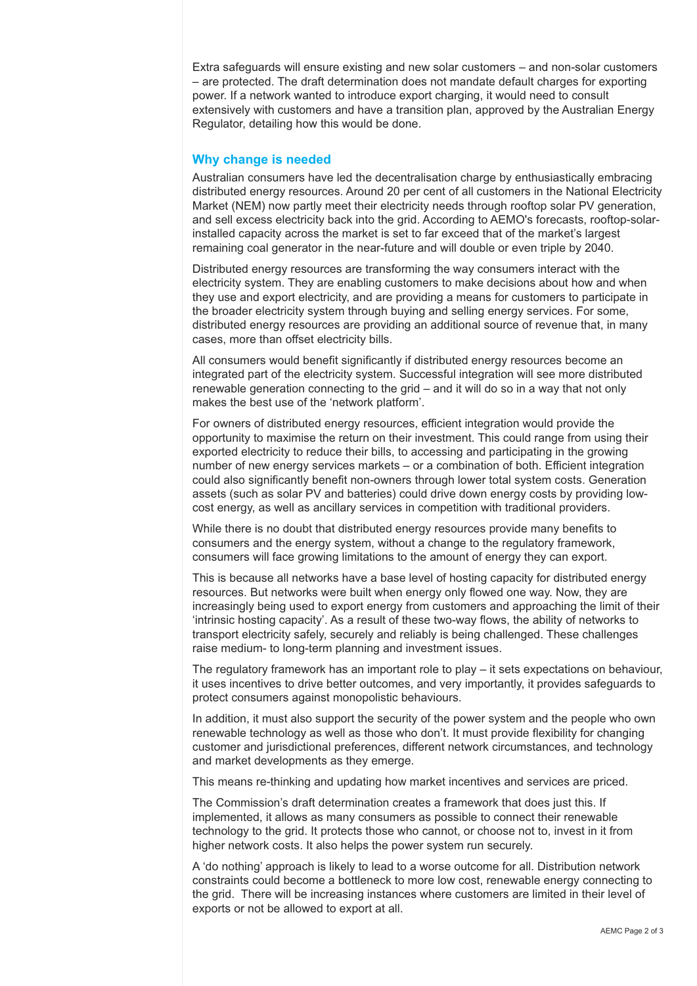Extra safeguards will ensure existing and new solar customers – and non-solar customers – are protected. The draft determination does not mandate default charges for exporting power. If a network wanted to introduce export charging, it would need to consult extensively with customers and have a transition plan, approved by the Australian Energy Regulator, detailing how this would be done.

### **Why change is needed**

Australian consumers have led the decentralisation charge by enthusiastically embracing distributed energy resources. Around 20 per cent of all customers in the National Electricity Market (NEM) now partly meet their electricity needs through rooftop solar PV generation, and sell excess electricity back into the grid. According to AEMO's forecasts, rooftop-solarinstalled capacity across the market is set to far exceed that of the market's largest remaining coal generator in the near-future and will double or even triple by 2040.

Distributed energy resources are transforming the way consumers interact with the electricity system. They are enabling customers to make decisions about how and when they use and export electricity, and are providing a means for customers to participate in the broader electricity system through buying and selling energy services. For some, distributed energy resources are providing an additional source of revenue that, in many cases, more than offset electricity bills.

All consumers would benefit significantly if distributed energy resources become an integrated part of the electricity system. Successful integration will see more distributed renewable generation connecting to the grid – and it will do so in a way that not only makes the best use of the 'network platform'.

For owners of distributed energy resources, efficient integration would provide the opportunity to maximise the return on their investment. This could range from using their exported electricity to reduce their bills, to accessing and participating in the growing number of new energy services markets – or a combination of both. Efficient integration could also significantly benefit non-owners through lower total system costs. Generation assets (such as solar PV and batteries) could drive down energy costs by providing lowcost energy, as well as ancillary services in competition with traditional providers.

While there is no doubt that distributed energy resources provide many benefits to consumers and the energy system, without a change to the regulatory framework, consumers will face growing limitations to the amount of energy they can export.

This is because all networks have a base level of hosting capacity for distributed energy resources. But networks were built when energy only flowed one way. Now, they are increasingly being used to export energy from customers and approaching the limit of their 'intrinsic hosting capacity'. As a result of these two-way flows, the ability of networks to transport electricity safely, securely and reliably is being challenged. These challenges raise medium- to long-term planning and investment issues.

The regulatory framework has an important role to play – it sets expectations on behaviour, it uses incentives to drive better outcomes, and very importantly, it provides safeguards to protect consumers against monopolistic behaviours.

In addition, it must also support the security of the power system and the people who own renewable technology as well as those who don't. It must provide flexibility for changing customer and jurisdictional preferences, different network circumstances, and technology and market developments as they emerge.

This means re-thinking and updating how market incentives and services are priced.

The Commission's draft determination creates a framework that does just this. If implemented, it allows as many consumers as possible to connect their renewable technology to the grid. It protects those who cannot, or choose not to, invest in it from higher network costs. It also helps the power system run securely.

A 'do nothing' approach is likely to lead to a worse outcome for all. Distribution network constraints could become a bottleneck to more low cost, renewable energy connecting to the grid. There will be increasing instances where customers are limited in their level of exports or not be allowed to export at all.